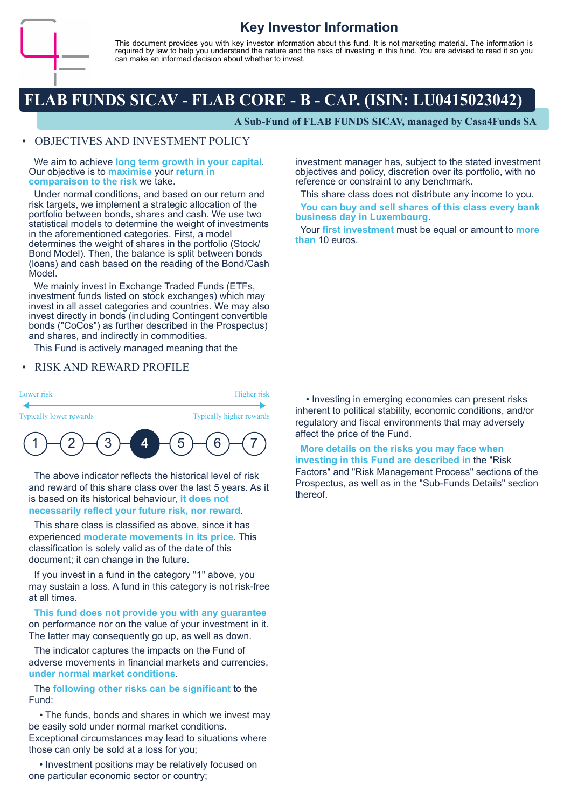

# **Key Investor Information**

This document provides you with key investor information about this fund. It is not marketing material. The information is required by law to help you understand the nature and the risks of investing in this fund. You are advised to read it so you can make an informed decision about whether to invest.

# **FLAB FUNDS SICAV - FLAB CORE - B - CAP. (ISIN: LU0415023042)**

**A Sub-Fund of FLAB FUNDS SICAV, managed by Casa4Funds SA**

#### • OBJECTIVES AND INVESTMENT POLICY

 We aim to achieve **long term growth in your capital**. Our objective is to **maximise** your **return in comparaison to the risk** we take.

 Under normal conditions, and based on our return and risk targets, we implement a strategic allocation of the portfolio between bonds, shares and cash. We use two statistical models to determine the weight of investments in the aforementioned categories. First, a model determines the weight of shares in the portfolio (Stock/ Bond Model). Then, the balance is split between bonds (loans) and cash based on the reading of the Bond/Cash Model.

 We mainly invest in Exchange Traded Funds (ETFs, investment funds listed on stock exchanges) which may invest in all asset categories and countries. We may also invest directly in bonds (including Contingent convertible bonds ("CoCos") as further described in the Prospectus) and shares, and indirectly in commodities.

This Fund is actively managed meaning that the

#### • RISK AND REWARD PROFILE

Lower risk Higher risk

Typically lower rewards Typically higher rewards



 The above indicator reflects the historical level of risk and reward of this share class over the last 5 years. As it is based on its historical behaviour, **it does not necessarily reflect your future risk, nor reward**.

 This share class is classified as above, since it has experienced **moderate movements in its price**. This classification is solely valid as of the date of this document; it can change in the future.

 If you invest in a fund in the category "1" above, you may sustain a loss. A fund in this category is not risk-free at all times.

 **This fund does not provide you with any guarantee** on performance nor on the value of your investment in it. The latter may consequently go up, as well as down.

 The indicator captures the impacts on the Fund of adverse movements in financial markets and currencies, **under normal market conditions**.

 The **following other risks can be significant** to the Fund:

 • The funds, bonds and shares in which we invest may be easily sold under normal market conditions. Exceptional circumstances may lead to situations where those can only be sold at a loss for you;

 • Investment positions may be relatively focused on one particular economic sector or country;

investment manager has, subject to the stated investment objectives and policy, discretion over its portfolio, with no reference or constraint to any benchmark.

This share class does not distribute any income to you.

 **You can buy and sell shares of this class every bank business day in Luxembourg**.

 Your **first investment** must be equal or amount to **more than** 10 euros.

 • Investing in emerging economies can present risks inherent to political stability, economic conditions, and/or regulatory and fiscal environments that may adversely affect the price of the Fund.

 **More details on the risks you may face when investing in this Fund are described in** the "Risk Factors" and "Risk Management Process" sections of the Prospectus, as well as in the "Sub-Funds Details" section thereof.